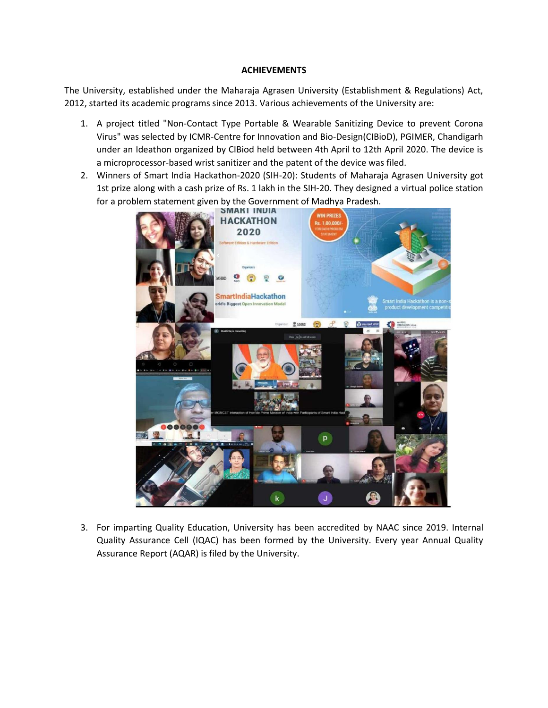## **ACHIEVEMENTS**

The University, established under the Maharaja Agrasen University (Establishment & Regulations) Act, 2012, started its academic programs since 2013. Various achievements of the University are:

- 1. A project titled "Non-Contact Type Portable & Wearable Sanitizing Device to prevent Corona Virus" was selected by ICMR-Centre for Innovation and Bio-Design(CIBioD), PGIMER, Chandigarh under an Ideathon organized by CIBiod held between 4th April to 12th April 2020. The device is a microprocessor-based wrist sanitizer and the patent of the device was filed.
- 2. Winners of Smart India Hackathon-2020 (SIH-20): Students of Maharaja Agrasen University got 1st prize along with a cash prize of Rs. 1 lakh in the SIH-20. They designed a virtual police station for a problem statement given by the Government of Madhya Pradesh.



3. For imparting Quality Education, University has been accredited by NAAC since 2019. Internal Quality Assurance Cell (IQAC) has been formed by the University. Every year Annual Quality Assurance Report (AQAR) is filed by the University.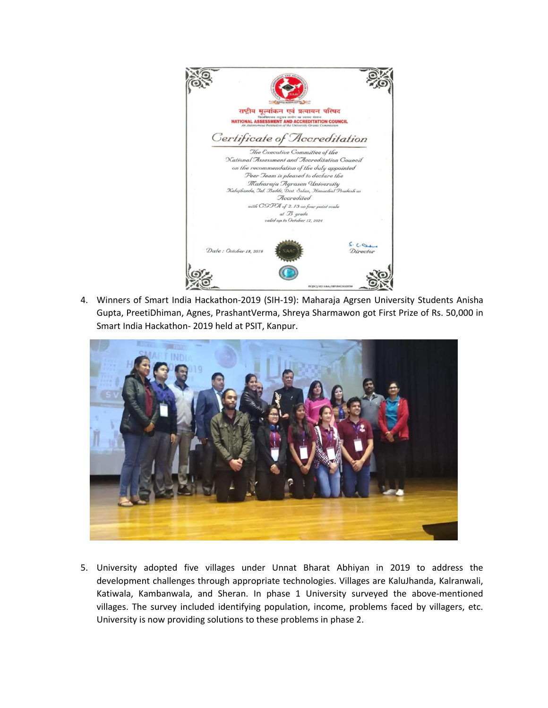

4. Winners of Smart India Hackathon-2019 (SIH-19): Maharaja Agrsen University Students Anisha Gupta, PreetiDhiman, Agnes, PrashantVerma, Shreya Sharmawon got First Prize of Rs. 50,000 in Smart India Hackathon- 2019 held at PSIT, Kanpur.



5. University adopted five villages under Unnat Bharat Abhiyan in 2019 to address the development challenges through appropriate technologies. Villages are KaluJhanda, Kalranwali, Katiwala, Kambanwala, and Sheran. In phase 1 University surveyed the above-mentioned villages. The survey included identifying population, income, problems faced by villagers, etc. University is now providing solutions to these problems in phase 2.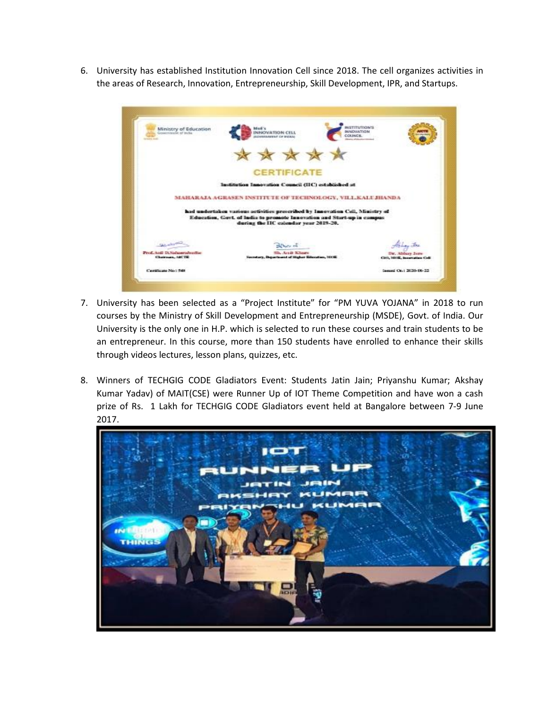6. University has established Institution Innovation Cell since 2018. The cell organizes activities in the areas of Research, Innovation, Entrepreneurship, Skill Development, IPR, and Startups.

| Ministry of Education<br>Gesternhouse of inchia-<br><b>Infants</b> de | 绿斑茄 化<br><b>BUNOVATION</b><br>NNKWATION<br>COLINER:<br><b>DISTANTIVE OF</b>                                                                                                                     | <b><i>BISTITUTION'S</i></b>                       |
|-----------------------------------------------------------------------|-------------------------------------------------------------------------------------------------------------------------------------------------------------------------------------------------|---------------------------------------------------|
|                                                                       | ****                                                                                                                                                                                            |                                                   |
|                                                                       | <b>CERTIFICATE</b>                                                                                                                                                                              |                                                   |
|                                                                       | Institution Innovation Council (IIC) established at                                                                                                                                             |                                                   |
|                                                                       | MAHARAJA AGRASEN INSTITUTE OF TECHNOLOGY, VILLKALI JHANDA                                                                                                                                       |                                                   |
|                                                                       | had undertaken various activities prescribed by Innovation Cell, Ministry of<br>Education, Gost. of India to promote Innovation and Start-up in campus<br>during the IIC calendar year 2019-20. |                                                   |
|                                                                       | del har all                                                                                                                                                                                     |                                                   |
| Prof. And D.Nackastarschuche<br>Chairman, ARCTR                       | Sh. Ardt Khaev<br>Secretary, Department of Higher Silenstian, 1008.                                                                                                                             | Dr. Abbare Jare<br>Città, Mittil, Inneration Cell |
| Continues No: 548                                                     |                                                                                                                                                                                                 | Issued Oc.: 2020-06-22                            |

- 7. University has been selected as a "Project Institute" for "PM YUVA YOJANA" in 2018 to run courses by the Ministry of Skill Development and Entrepreneurship (MSDE), Govt. of India. Our University is the only one in H.P. which is selected to run these courses and train students to be an entrepreneur. In this course, more than 150 students have enrolled to enhance their skills through videos lectures, lesson plans, quizzes, etc.
- 8. Winners of TECHGIG CODE Gladiators Event: Students Jatin Jain; Priyanshu Kumar; Akshay Kumar Yadav) of MAIT(CSE) were Runner Up of IOT Theme Competition and have won a cash prize of Rs. 1 Lakh for TECHGIG CODE Gladiators event held at Bangalore between 7-9 June 2017.

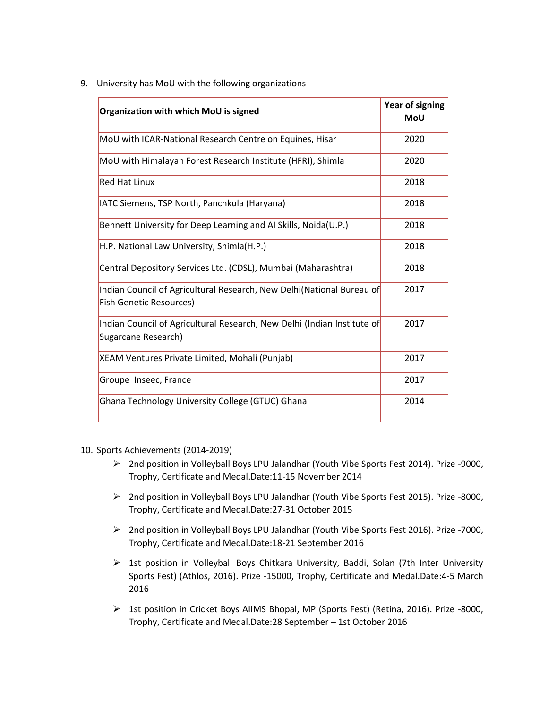9. University has MoU with the following organizations

| Organization with which MoU is signed                                                                   | <b>Year of signing</b><br><b>MoU</b> |
|---------------------------------------------------------------------------------------------------------|--------------------------------------|
| MoU with ICAR-National Research Centre on Equines, Hisar                                                | 2020                                 |
| MoU with Himalayan Forest Research Institute (HFRI), Shimla                                             | 2020                                 |
| <b>Red Hat Linux</b>                                                                                    | 2018                                 |
| IATC Siemens, TSP North, Panchkula (Haryana)                                                            | 2018                                 |
| Bennett University for Deep Learning and AI Skills, Noida(U.P.)                                         | 2018                                 |
| H.P. National Law University, Shimla(H.P.)                                                              | 2018                                 |
| Central Depository Services Ltd. (CDSL), Mumbai (Maharashtra)                                           | 2018                                 |
| Indian Council of Agricultural Research, New Delhi(National Bureau of<br><b>Fish Genetic Resources)</b> | 2017                                 |
| Indian Council of Agricultural Research, New Delhi (Indian Institute of<br>Sugarcane Research)          | 2017                                 |
| XEAM Ventures Private Limited, Mohali (Punjab)                                                          | 2017                                 |
| Groupe Inseec, France                                                                                   | 2017                                 |
| Ghana Technology University College (GTUC) Ghana                                                        | 2014                                 |

- 10. Sports Achievements (2014-2019)
	- 2nd position in Volleyball Boys LPU Jalandhar (Youth Vibe Sports Fest 2014). Prize -9000, Trophy, Certificate and Medal.Date:11-15 November 2014
	- 2nd position in Volleyball Boys LPU Jalandhar (Youth Vibe Sports Fest 2015). Prize -8000, Trophy, Certificate and Medal.Date:27-31 October 2015
	- 2nd position in Volleyball Boys LPU Jalandhar (Youth Vibe Sports Fest 2016). Prize -7000, Trophy, Certificate and Medal.Date:18-21 September 2016
	- $\triangleright$  1st position in Volleyball Boys Chitkara University, Baddi, Solan (7th Inter University Sports Fest) (Athlos, 2016). Prize -15000, Trophy, Certificate and Medal.Date:4-5 March 2016
	- 1st position in Cricket Boys AIIMS Bhopal, MP (Sports Fest) (Retina, 2016). Prize -8000, Trophy, Certificate and Medal.Date:28 September – 1st October 2016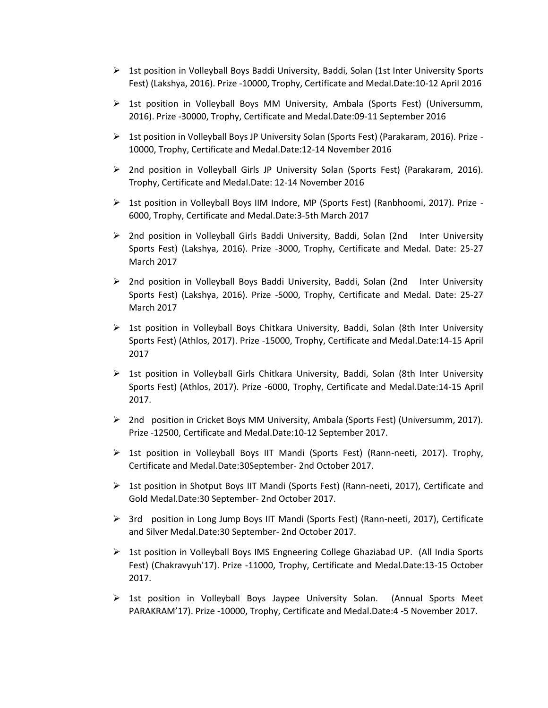- $\triangleright$  1st position in Volleyball Boys Baddi University, Baddi, Solan (1st Inter University Sports Fest) (Lakshya, 2016). Prize -10000, Trophy, Certificate and Medal.Date:10-12 April 2016
- $\triangleright$  1st position in Volleyball Boys MM University, Ambala (Sports Fest) (Universumm, 2016). Prize -30000, Trophy, Certificate and Medal.Date:09-11 September 2016
- $\triangleright$  1st position in Volleyball Boys JP University Solan (Sports Fest) (Parakaram, 2016). Prize -10000, Trophy, Certificate and Medal.Date:12-14 November 2016
- $\triangleright$  2nd position in Volleyball Girls JP University Solan (Sports Fest) (Parakaram, 2016). Trophy, Certificate and Medal.Date: 12-14 November 2016
- $\triangleright$  1st position in Volleyball Boys IIM Indore, MP (Sports Fest) (Ranbhoomi, 2017). Prize -6000, Trophy, Certificate and Medal.Date:3-5th March 2017
- ▶ 2nd position in Volleyball Girls Baddi University, Baddi, Solan (2nd Inter University Sports Fest) (Lakshya, 2016). Prize -3000, Trophy, Certificate and Medal. Date: 25-27 March 2017
- 2nd position in Volleyball Boys Baddi University, Baddi, Solan (2nd Inter University Sports Fest) (Lakshya, 2016). Prize -5000, Trophy, Certificate and Medal. Date: 25-27 March 2017
- $\triangleright$  1st position in Volleyball Boys Chitkara University, Baddi, Solan (8th Inter University Sports Fest) (Athlos, 2017). Prize -15000, Trophy, Certificate and Medal.Date:14-15 April 2017
- $\triangleright$  1st position in Volleyball Girls Chitkara University, Baddi, Solan (8th Inter University Sports Fest) (Athlos, 2017). Prize -6000, Trophy, Certificate and Medal.Date:14-15 April 2017.
- $\triangleright$  2nd position in Cricket Boys MM University, Ambala (Sports Fest) (Universumm, 2017). Prize -12500, Certificate and Medal.Date:10-12 September 2017.
- $\triangleright$  1st position in Volleyball Boys IIT Mandi (Sports Fest) (Rann-neeti, 2017). Trophy, Certificate and Medal.Date:30September- 2nd October 2017.
- $\triangleright$  1st position in Shotput Boys IIT Mandi (Sports Fest) (Rann-neeti, 2017), Certificate and Gold Medal.Date:30 September- 2nd October 2017.
- $\triangleright$  3rd position in Long Jump Boys IIT Mandi (Sports Fest) (Rann-neeti, 2017), Certificate and Silver Medal.Date:30 September- 2nd October 2017.
- $\triangleright$  1st position in Volleyball Boys IMS Engneering College Ghaziabad UP. (All India Sports Fest) (Chakravyuh'17). Prize -11000, Trophy, Certificate and Medal.Date:13-15 October 2017.
- $\triangleright$  1st position in Volleyball Boys Jaypee University Solan. (Annual Sports Meet PARAKRAM'17). Prize -10000, Trophy, Certificate and Medal.Date:4 -5 November 2017.